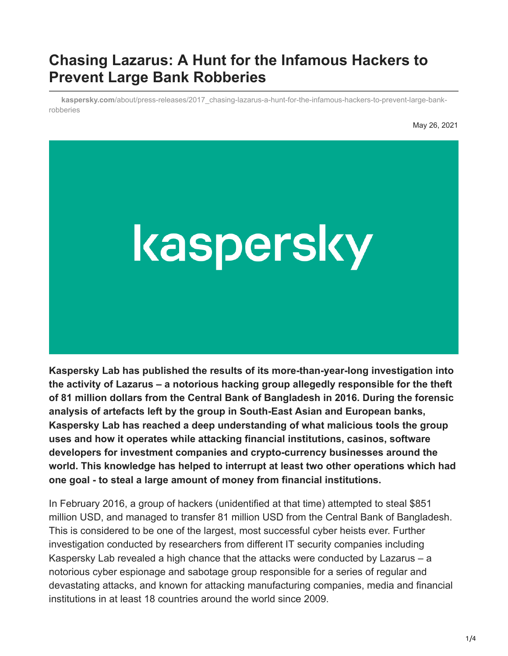## **Chasing Lazarus: A Hunt for the Infamous Hackers to Prevent Large Bank Robberies**

**kaspersky.com**[/about/press-releases/2017\\_chasing-lazarus-a-hunt-for-the-infamous-hackers-to-prevent-large-bank](https://www.kaspersky.com/about/press-releases/2017_chasing-lazarus-a-hunt-for-the-infamous-hackers-to-prevent-large-bank-robberies)robberies

May 26, 2021



**Kaspersky Lab has published the results of its more-than-year-long investigation into the activity of Lazarus – a notorious hacking group allegedly responsible for the theft of 81 million dollars from the Central Bank of Bangladesh in 2016. During the forensic analysis of artefacts left by the group in South-East Asian and European banks, Kaspersky Lab has reached a deep understanding of what malicious tools the group uses and how it operates while attacking financial institutions, casinos, software developers for investment companies and crypto-currency businesses around the world. This knowledge has helped to interrupt at least two other operations which had one goal - to steal a large amount of money from financial institutions.**

In February 2016, a group of hackers (unidentified at that time) attempted to steal \$851 million USD, and managed to transfer 81 million USD from the Central Bank of Bangladesh. This is considered to be one of the largest, most successful cyber heists ever. Further investigation conducted by researchers from different IT security companies including Kaspersky Lab revealed a high chance that the attacks were conducted by Lazarus – a notorious cyber espionage and sabotage group responsible for a series of regular and devastating attacks, and known for attacking manufacturing companies, media and financial institutions in at least 18 countries around the world since 2009.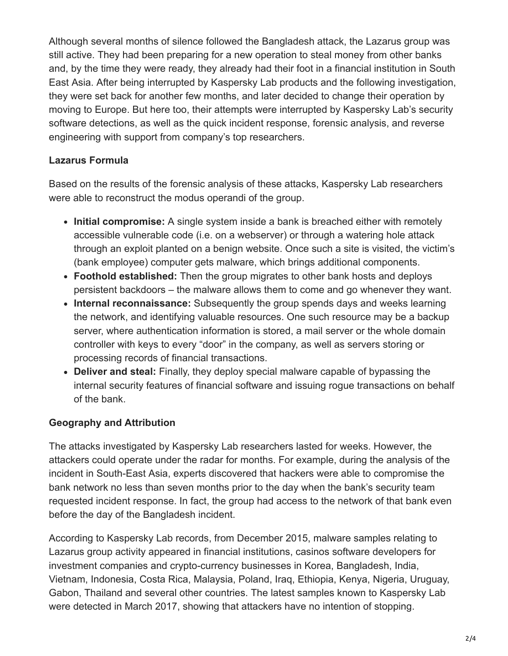Although several months of silence followed the Bangladesh attack, the Lazarus group was still active. They had been preparing for a new operation to steal money from other banks and, by the time they were ready, they already had their foot in a financial institution in South East Asia. After being interrupted by Kaspersky Lab products and the following investigation, they were set back for another few months, and later decided to change their operation by moving to Europe. But here too, their attempts were interrupted by Kaspersky Lab's security software detections, as well as the quick incident response, forensic analysis, and reverse engineering with support from company's top researchers.

## **Lazarus Formula**

Based on the results of the forensic analysis of these attacks, Kaspersky Lab researchers were able to reconstruct the modus operandi of the group.

- **Initial compromise:** A single system inside a bank is breached either with remotely accessible vulnerable code (i.e. on a webserver) or through a watering hole attack through an exploit planted on a benign website. Once such a site is visited, the victim's (bank employee) computer gets malware, which brings additional components.
- **Foothold established:** Then the group migrates to other bank hosts and deploys persistent backdoors – the malware allows them to come and go whenever they want.
- **Internal reconnaissance:** Subsequently the group spends days and weeks learning the network, and identifying valuable resources. One such resource may be a backup server, where authentication information is stored, a mail server or the whole domain controller with keys to every "door" in the company, as well as servers storing or processing records of financial transactions.
- **Deliver and steal:** Finally, they deploy special malware capable of bypassing the internal security features of financial software and issuing rogue transactions on behalf of the bank.

## **Geography and Attribution**

The attacks investigated by Kaspersky Lab researchers lasted for weeks. However, the attackers could operate under the radar for months. For example, during the analysis of the incident in South-East Asia, experts discovered that hackers were able to compromise the bank network no less than seven months prior to the day when the bank's security team requested incident response. In fact, the group had access to the network of that bank even before the day of the Bangladesh incident.

According to Kaspersky Lab records, from December 2015, malware samples relating to Lazarus group activity appeared in financial institutions, casinos software developers for investment companies and crypto-currency businesses in Korea, Bangladesh, India, Vietnam, Indonesia, Costa Rica, Malaysia, Poland, Iraq, Ethiopia, Kenya, Nigeria, Uruguay, Gabon, Thailand and several other countries. The latest samples known to Kaspersky Lab were detected in March 2017, showing that attackers have no intention of stopping.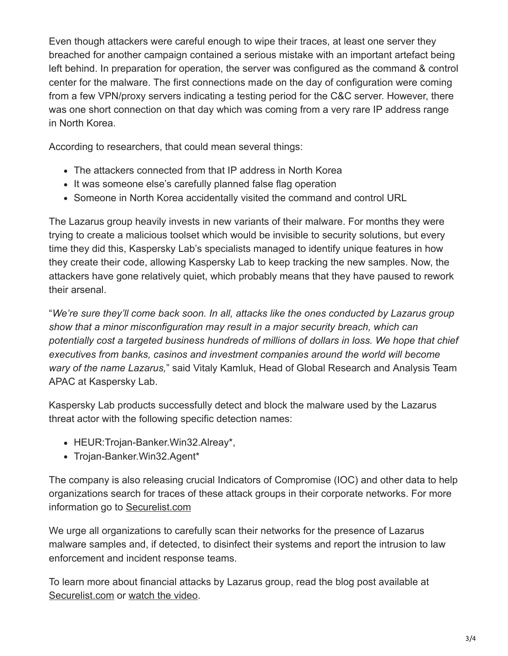Even though attackers were careful enough to wipe their traces, at least one server they breached for another campaign contained a serious mistake with an important artefact being left behind. In preparation for operation, the server was configured as the command & control center for the malware. The first connections made on the day of configuration were coming from a few VPN/proxy servers indicating a testing period for the C&C server. However, there was one short connection on that day which was coming from a very rare IP address range in North Korea.

According to researchers, that could mean several things:

- The attackers connected from that IP address in North Korea
- It was someone else's carefully planned false flag operation
- Someone in North Korea accidentally visited the command and control URL

The Lazarus group heavily invests in new variants of their malware. For months they were trying to create a malicious toolset which would be invisible to security solutions, but every time they did this, Kaspersky Lab's specialists managed to identify unique features in how they create their code, allowing Kaspersky Lab to keep tracking the new samples. Now, the attackers have gone relatively quiet, which probably means that they have paused to rework their arsenal.

"*We're sure they'll come back soon. In all, attacks like the ones conducted by Lazarus group show that a minor misconfiguration may result in a major security breach, which can potentially cost a targeted business hundreds of millions of dollars in loss. We hope that chief executives from banks, casinos and investment companies around the world will become wary of the name Lazarus,*" said Vitaly Kamluk, Head of Global Research and Analysis Team APAC at Kaspersky Lab.

Kaspersky Lab products successfully detect and block the malware used by the Lazarus threat actor with the following specific detection names:

- HEUR: Trojan-Banker. Win32. Alreay\*,
- Trojan-Banker.Win32.Agent\*

The company is also releasing crucial Indicators of Compromise (IOC) and other data to help organizations search for traces of these attack groups in their corporate networks. For more information go to [Securelist.com](https://kas.pr/ix6C)

We urge all organizations to carefully scan their networks for the presence of Lazarus malware samples and, if detected, to disinfect their systems and report the intrusion to law enforcement and incident response teams.

To learn more about financial attacks by Lazarus group, read the blog post available at [Securelist.com](https://kas.pr/ix6C) or [watch the video](https://youtu.be/9Vh2n6nC0t4).